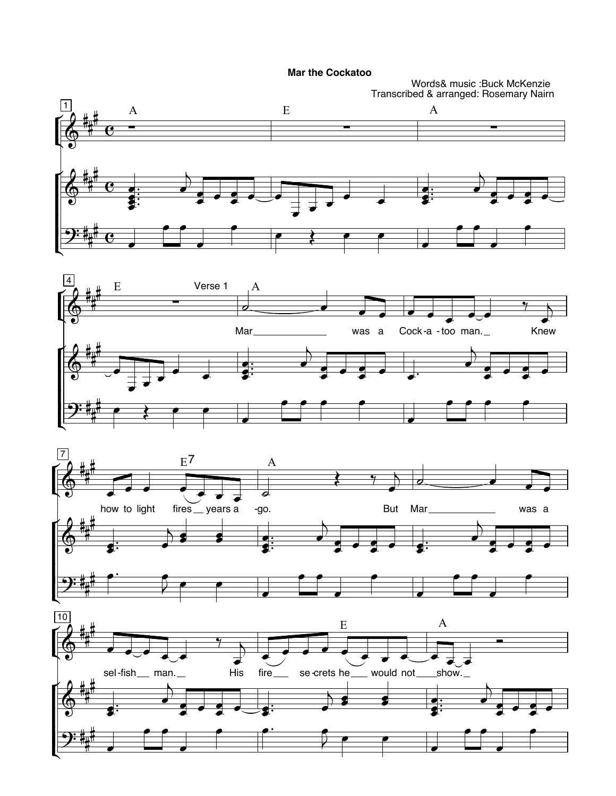**Mar the Cockatoo** 

Words& music :Buck McKenzie<br>Transcribed & arranged: Rosemary Nairn

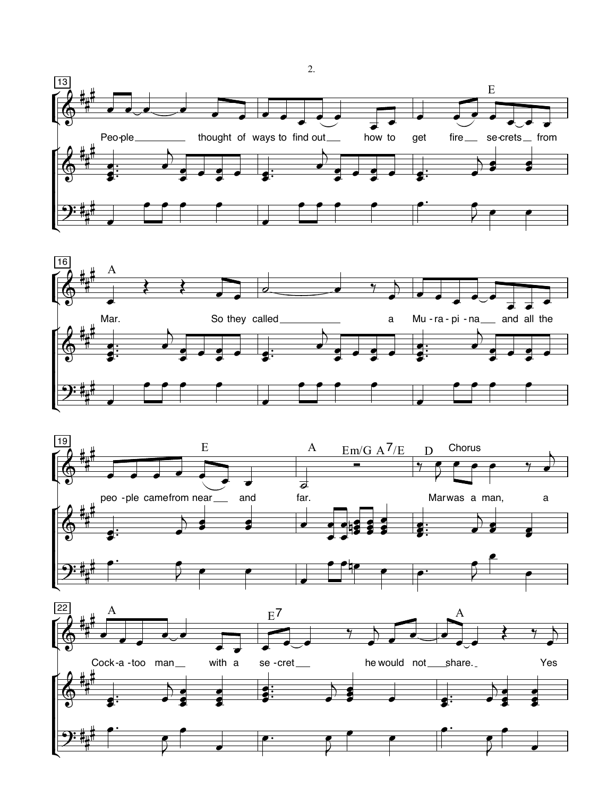







 $\overline{2}$ .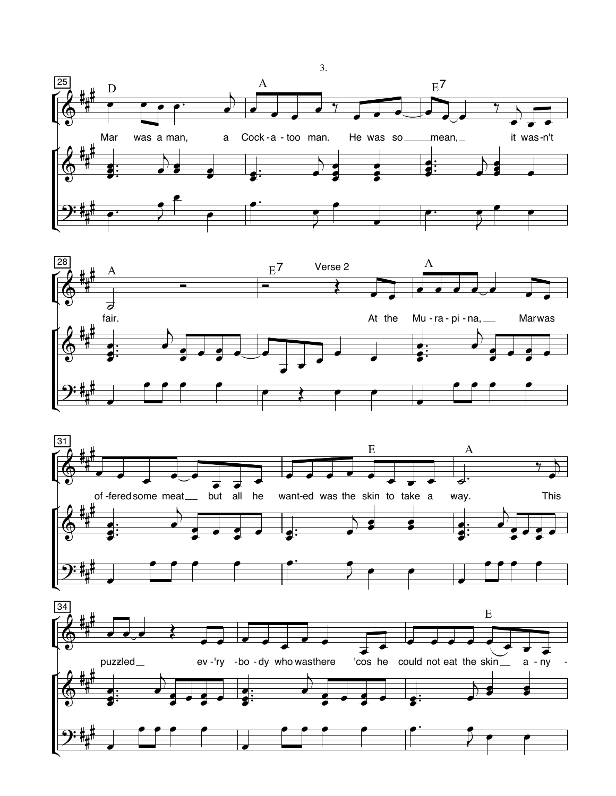





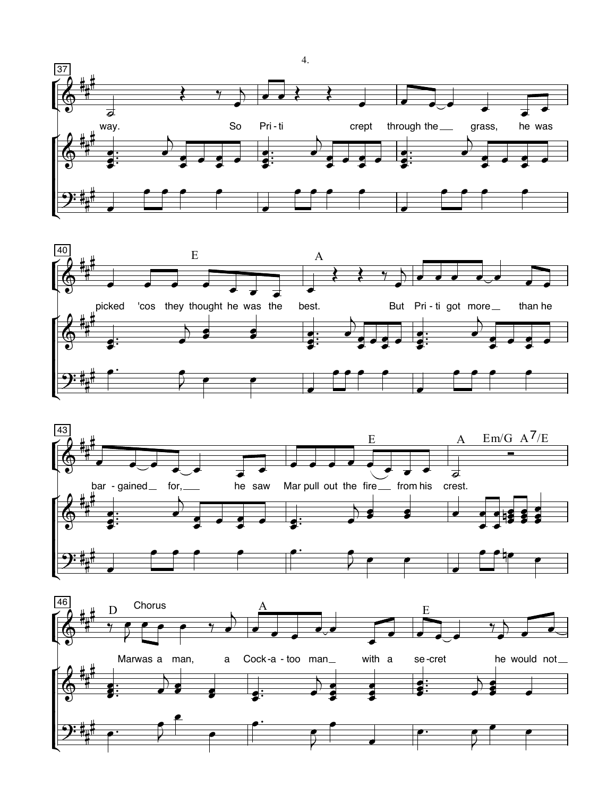





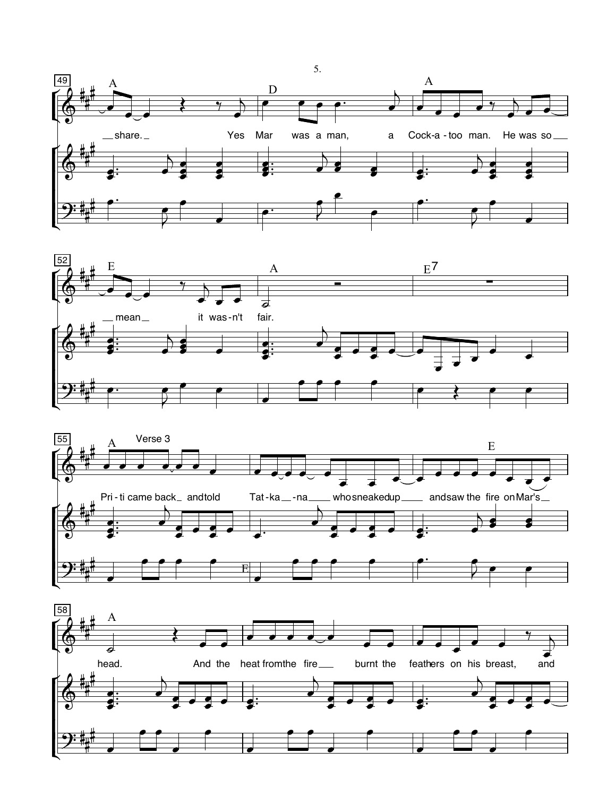





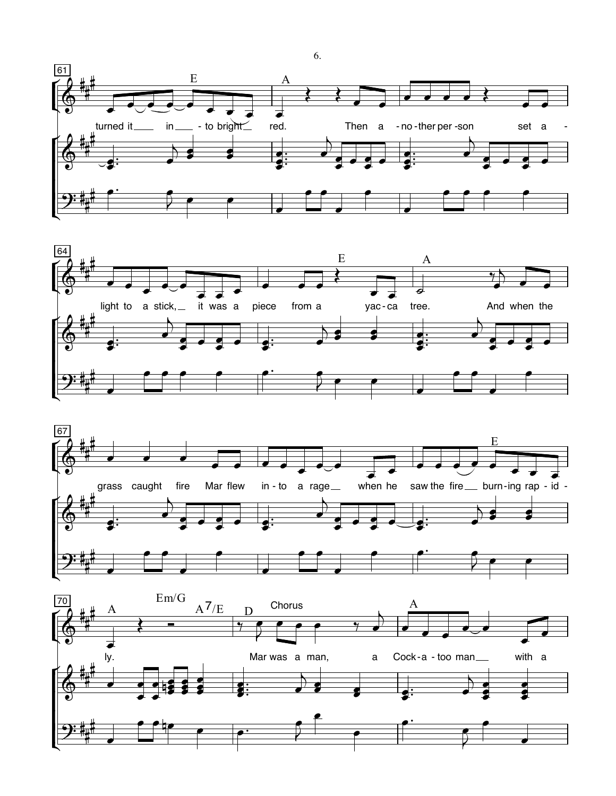





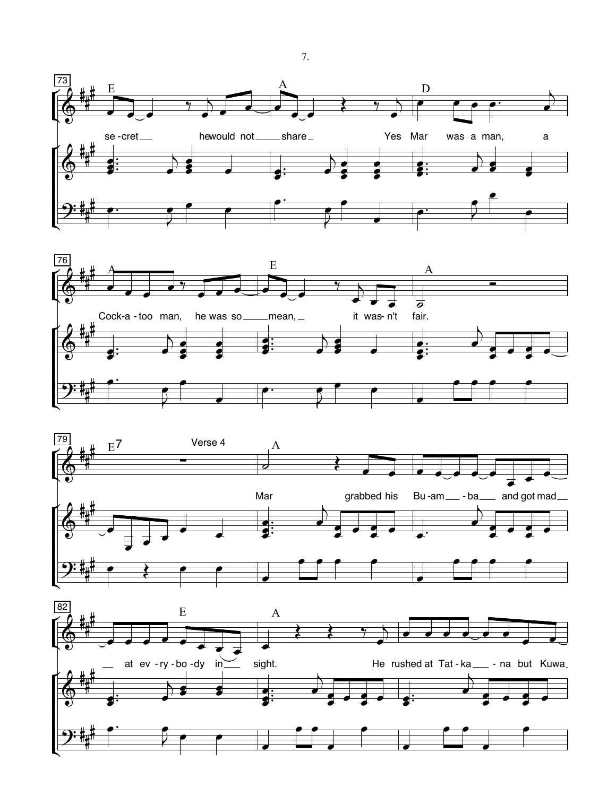





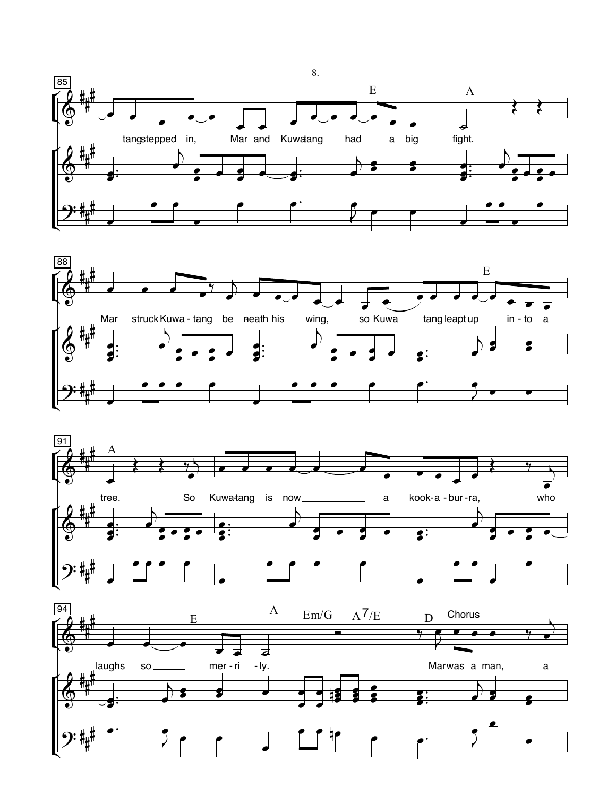





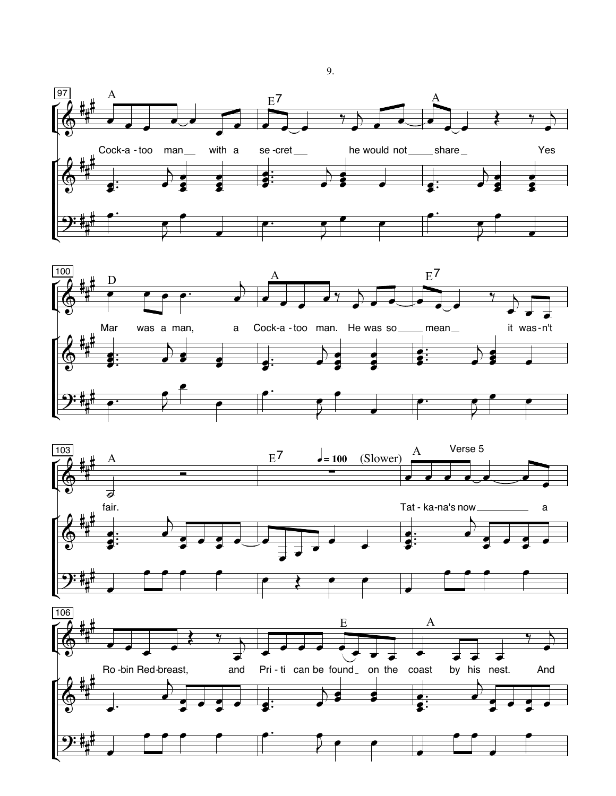